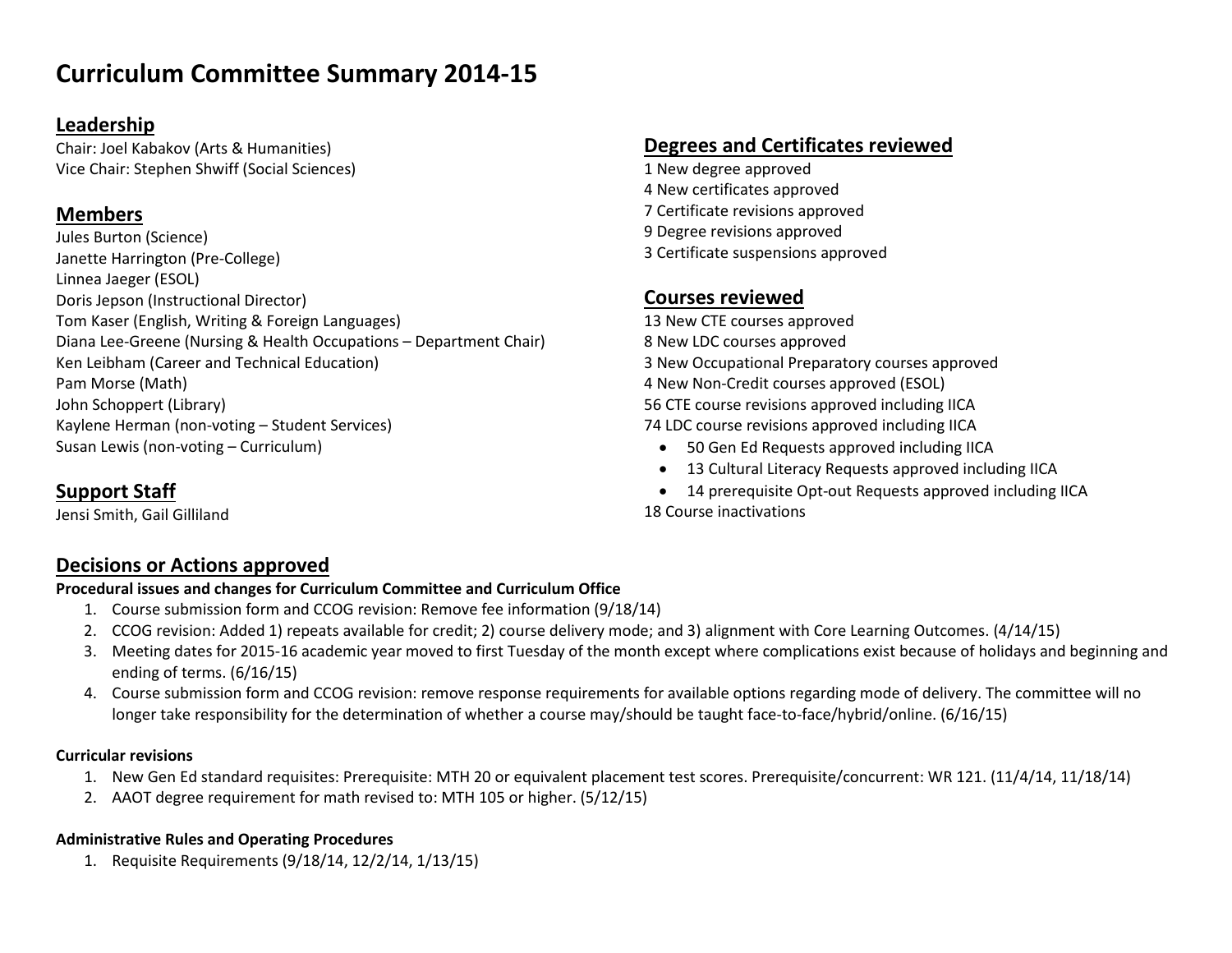# **Curriculum Committee Summary 2014-15**

### **Leadership**

Chair: Joel Kabakov (Arts & Humanities) Vice Chair: Stephen Shwiff (Social Sciences)

### **Members**

Jules Burton (Science) Janette Harrington (Pre-College) Linnea Jaeger (ESOL) Doris Jepson (Instructional Director) Tom Kaser (English, Writing & Foreign Languages) Diana Lee-Greene (Nursing & Health Occupations – Department Chair) Ken Leibham (Career and Technical Education) Pam Morse (Math) John Schoppert (Library) Kaylene Herman (non-voting – Student Services) Susan Lewis (non-voting – Curriculum)

### **Degrees and Certificates reviewed**

1 New degree approved 4 New certificates approved 7 Certificate revisions approved 9 Degree revisions approved 3 Certificate suspensions approved

### **Courses reviewed**

 New CTE courses approved New LDC courses approved New Occupational Preparatory courses approved 4 New Non-Credit courses approved (ESOL) CTE course revisions approved including IICA LDC course revisions approved including IICA

- 50 Gen Ed Requests approved including IICA
- 13 Cultural Literacy Requests approved including IICA
- 14 prerequisite Opt-out Requests approved including IICA 18 Course inactivations

## **Support Staff**

Jensi Smith, Gail Gilliland

### **Decisions or Actions approved**

#### **Procedural issues and changes for Curriculum Committee and Curriculum Office**

- 1. Course submission form and CCOG revision: Remove fee information (9/18/14)
- 2. CCOG revision: Added 1) repeats available for credit; 2) course delivery mode; and 3) alignment with Core Learning Outcomes. (4/14/15)
- 3. Meeting dates for 2015-16 academic year moved to first Tuesday of the month except where complications exist because of holidays and beginning and ending of terms. (6/16/15)
- 4. Course submission form and CCOG revision: remove response requirements for available options regarding mode of delivery. The committee will no longer take responsibility for the determination of whether a course may/should be taught face-to-face/hybrid/online. (6/16/15)

#### **Curricular revisions**

- 1. New Gen Ed standard requisites: Prerequisite: MTH 20 or equivalent placement test scores. Prerequisite/concurrent: WR 121. (11/4/14, 11/18/14)
- 2. AAOT degree requirement for math revised to: MTH 105 or higher. (5/12/15)

#### **Administrative Rules and Operating Procedures**

1. Requisite Requirements (9/18/14, 12/2/14, 1/13/15)